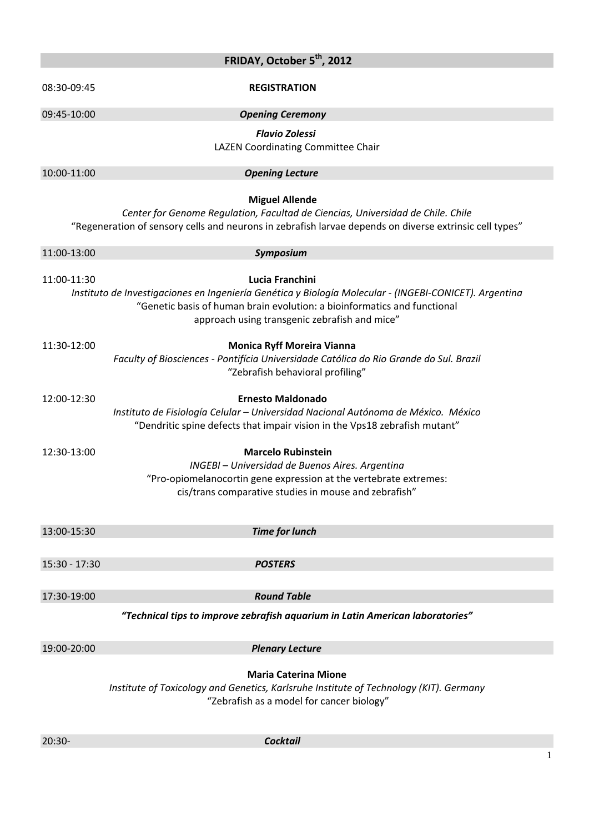| FRIDAY, October 5 <sup>th</sup> , 2012 |                                                                                                                                                                                                                                                        |
|----------------------------------------|--------------------------------------------------------------------------------------------------------------------------------------------------------------------------------------------------------------------------------------------------------|
| 08:30-09:45                            | <b>REGISTRATION</b>                                                                                                                                                                                                                                    |
| 09:45-10:00                            | <b>Opening Ceremony</b>                                                                                                                                                                                                                                |
|                                        | <b>Flavio Zolessi</b><br>LAZEN Coordinating Committee Chair                                                                                                                                                                                            |
| 10:00-11:00                            | <b>Opening Lecture</b>                                                                                                                                                                                                                                 |
|                                        | <b>Miguel Allende</b><br>Center for Genome Regulation, Facultad de Ciencias, Universidad de Chile. Chile<br>"Regeneration of sensory cells and neurons in zebrafish larvae depends on diverse extrinsic cell types"                                    |
| 11:00-13:00                            | Symposium                                                                                                                                                                                                                                              |
| 11:00-11:30                            | Lucia Franchini<br>Instituto de Investigaciones en Ingeniería Genética y Biología Molecular - (INGEBI-CONICET). Argentina<br>"Genetic basis of human brain evolution: a bioinformatics and functional<br>approach using transgenic zebrafish and mice" |
| 11:30-12:00                            | <b>Monica Ryff Moreira Vianna</b><br>Faculty of Biosciences - Pontifícia Universidade Católica do Rio Grande do Sul. Brazil<br>"Zebrafish behavioral profiling"                                                                                        |
| 12:00-12:30                            | <b>Ernesto Maldonado</b><br>Instituto de Fisiología Celular - Universidad Nacional Autónoma de México. México<br>"Dendritic spine defects that impair vision in the Vps18 zebrafish mutant"                                                            |
| 12:30-13:00                            | <b>Marcelo Rubinstein</b><br>INGEBI - Universidad de Buenos Aires. Argentina<br>"Pro-opiomelanocortin gene expression at the vertebrate extremes:<br>cis/trans comparative studies in mouse and zebrafish"                                             |
| 13:00-15:30                            | <b>Time for lunch</b>                                                                                                                                                                                                                                  |
|                                        |                                                                                                                                                                                                                                                        |
| 15:30 - 17:30                          | <b>POSTERS</b>                                                                                                                                                                                                                                         |
|                                        |                                                                                                                                                                                                                                                        |
| 17:30-19:00                            | <b>Round Table</b>                                                                                                                                                                                                                                     |
|                                        | "Technical tips to improve zebrafish aquarium in Latin American laboratories"                                                                                                                                                                          |
| 19:00-20:00                            | <b>Plenary Lecture</b>                                                                                                                                                                                                                                 |
|                                        | <b>Maria Caterina Mione</b><br>Institute of Toxicology and Genetics, Karlsruhe Institute of Technology (KIT). Germany<br>"Zebrafish as a model for cancer biology"                                                                                     |
| $20:30-$                               | <b>Cocktail</b>                                                                                                                                                                                                                                        |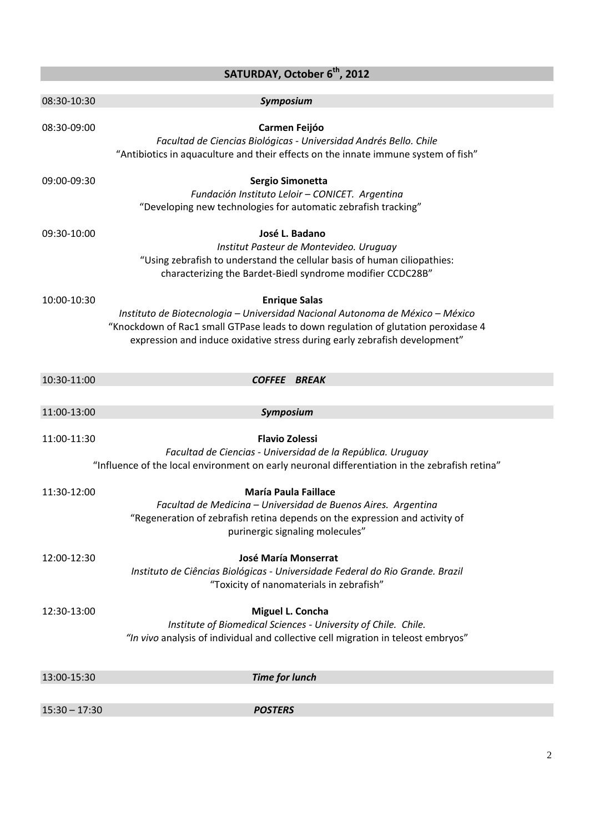| SATURDAY, October 6 <sup>th</sup> , 2012 |                                                                                                                                                                                                                                                                           |  |
|------------------------------------------|---------------------------------------------------------------------------------------------------------------------------------------------------------------------------------------------------------------------------------------------------------------------------|--|
| 08:30-10:30                              | Symposium                                                                                                                                                                                                                                                                 |  |
| 08:30-09:00                              | Carmen Feijóo<br>Facultad de Ciencias Biológicas - Universidad Andrés Bello. Chile<br>"Antibiotics in aquaculture and their effects on the innate immune system of fish"                                                                                                  |  |
| 09:00-09:30                              | Sergio Simonetta<br>Fundación Instituto Leloir - CONICET. Argentina<br>"Developing new technologies for automatic zebrafish tracking"                                                                                                                                     |  |
| 09:30-10:00                              | José L. Badano<br>Institut Pasteur de Montevideo. Uruguay<br>"Using zebrafish to understand the cellular basis of human ciliopathies:<br>characterizing the Bardet-Biedl syndrome modifier CCDC28B"                                                                       |  |
| 10:00-10:30                              | <b>Enrique Salas</b><br>Instituto de Biotecnologia - Universidad Nacional Autonoma de México - México<br>"Knockdown of Rac1 small GTPase leads to down regulation of glutation peroxidase 4<br>expression and induce oxidative stress during early zebrafish development" |  |
| 10:30-11:00                              | COFFEE BREAK                                                                                                                                                                                                                                                              |  |
|                                          |                                                                                                                                                                                                                                                                           |  |
| 11:00-13:00                              | Symposium                                                                                                                                                                                                                                                                 |  |
| 11:00-11:30                              | <b>Flavio Zolessi</b><br>Facultad de Ciencias - Universidad de la República. Uruguay<br>"Influence of the local environment on early neuronal differentiation in the zebrafish retina"                                                                                    |  |
| 11:30-12:00                              | <b>María Paula Faillace</b><br>Facultad de Medicina - Universidad de Buenos Aires. Argentina<br>"Regeneration of zebrafish retina depends on the expression and activity of<br>purinergic signaling molecules"                                                            |  |
| 12:00-12:30                              | <b>José María Monserrat</b><br>Instituto de Ciências Biológicas - Universidade Federal do Rio Grande. Brazil<br>"Toxicity of nanomaterials in zebrafish"                                                                                                                  |  |
| 12:30-13:00                              | Miguel L. Concha<br>Institute of Biomedical Sciences - University of Chile. Chile.<br>"In vivo analysis of individual and collective cell migration in teleost embryos"                                                                                                   |  |
| 13:00-15:30                              | <b>Time for lunch</b>                                                                                                                                                                                                                                                     |  |
| $15:30 - 17:30$                          | <b>POSTERS</b>                                                                                                                                                                                                                                                            |  |